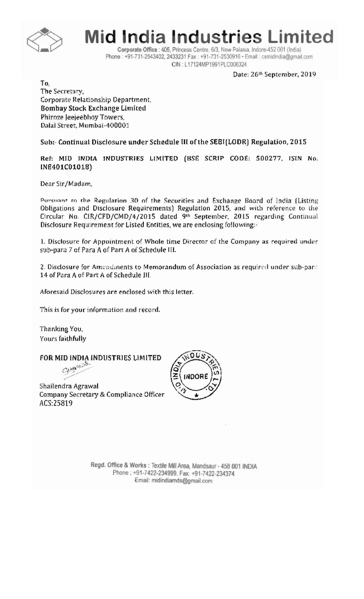

Mid India Industries Limited

Corporate Office : 405, Princess Centre, 6/3, New Palasia, Indore-452 001 (India) Phone: +91-731-2543402, 2433231 Fax: +91-731-2530916 · Email: csmidindia@gmail.com CIN: L17124MP1991PLC006324

Date: 26th September, 2019

To. The Secretary, Corporate Relationship Department, Bombay Stock Exchange Limited Phiroze Jeejeebhoy Towers, Dalal Street, Mumbai-400001

Sub:- Continual Disclosure under Schedule III of the SEBI(LODR) Regulation, 2015

Ref: MID INDIA INDUSTRIES LIMITED (BSE SCRIP CODE: 500277, ISIN No. INE401C01018)

Dear Sir/Madam,

Pursuant to the Regulation 30 of the Securities and Exchange Board of India (Listing Obligations and Disclosure Requirements) Regulation 2015, and with reference to the Circular No. CIR/CFD/CMD/4/2015 dated 9th September, 2015 regarding Continual Disclosure Requirement for Listed Entities, we are enclosing following:-

1. Disclosure for Appointment of Whole time Director of the Company as required under sub-para 7 of Para A of Part A of Schedule III.

2. Disclosure for Amendinents to Memorandum of Association as required under sub-part. 14 of Para A of Part A of Schedule III.

Aforesaid Disclosures are enclosed with this letter.

This is for your information and record.

Thanking You, Yours faithfully

FOR MID INDIA INDUSTRIES LIMITED

Geographie

Shailendra Agrawal Company Secretary & Compliance Officer ACS:25819



Regd. Office & Works : Textile Mill Area, Mandsaur - 458 001 INDIA Phone: +91-7422-234999. Fax: +91-7422-234374 Email: midindiamds@gmail.com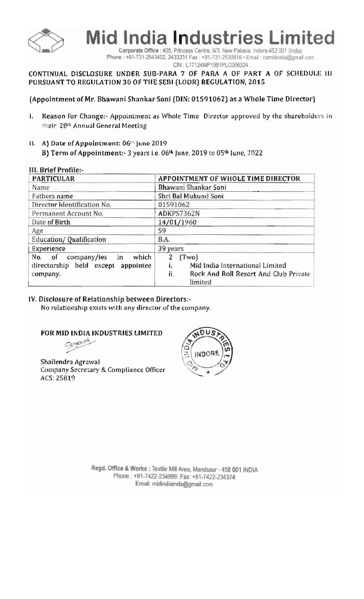

**Mid India Industries Limited** 

Corporate Office : 405, Princess Centre, 6/3, New Palasia, Indore-452 001 (India) Phone: +91-731-2543402, 2433231 Fax: +91-731-2530916 · Email: csmidindia@gmail.com

CIN: L17124MP1991PLC006324

### CONTINUAL DISCLOSURE UNDER SUB-PARA 7 OF PARA A OF PART A OF SCHEDULE III PURSUANT TO REGULATION 30 OF THE SEBI (LODR) REGULATION, 2015

# (Appointment of Mr. Bhawani Shankar Soni (DIN: 01591062) as a Whole Time Director)

- $\mathbf{L}$ Reason for Change:- Appointment as Whole Time Director approved by the shareholders in cheir 28th Annual General Meeting
- II. A) Date of Appointment: 06<sup>th</sup> june 2019

B) Term of Appointment:- 3 years i.e. 06<sup>th</sup> June, 2019 to 05<sup>th</sup> June, 2022

|  | III. Brief Profile:- |
|--|----------------------|
|--|----------------------|

| <b>PARTICULAR</b>                                                                      | APPOINTMENT OF WHOLE TIME DIRECTOR                                                                             |
|----------------------------------------------------------------------------------------|----------------------------------------------------------------------------------------------------------------|
| Name                                                                                   | Bhawani Shankar Soni                                                                                           |
| Fathers name                                                                           | Shri Bal Mukund Soni                                                                                           |
| Director Identification No.                                                            | 01591062                                                                                                       |
| Permanent Account No.                                                                  | ADKPS7362N                                                                                                     |
| Date of Birth                                                                          | 14/01/1960                                                                                                     |
| Age                                                                                    | 59                                                                                                             |
| Education/Qualification                                                                | <b>B.A.</b>                                                                                                    |
| Experience                                                                             | 39 years                                                                                                       |
| company/ies<br>which<br>No. of<br>in<br>directorship held except appointee<br>company. | (Two)<br>2<br>Mid India International Limited<br>i.<br>ii.<br>Rock And Roll Resort And Club Private<br>limited |

#### IV. Disclosure of Relationship between Directors:-

No relationship exists with any director of the company.

#### FOR MID INDIA INDUSTRIES LIMITED

Gingening

Shailendra Agrawal Company Secretary & Compliance Officer ACS: 25819



Regd. Office & Works : Textile Mill Area, Mandsaur - 458 001 INDIA Phone: +91-7422-234999. Fax: +91-7422-234374 Email: midindiamds@gmail.com